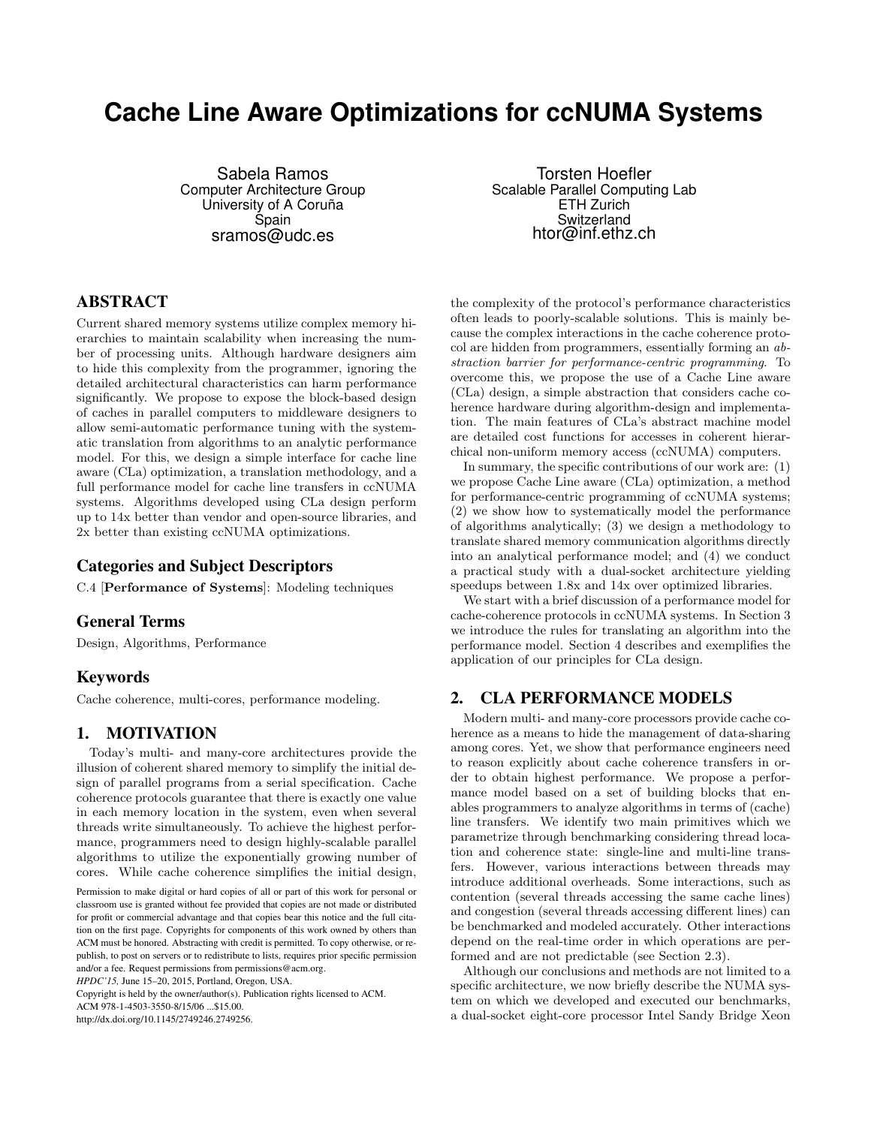# **Cache Line Aware Optimizations for ccNUMA Systems**

Sabela Ramos Computer Architecture Group University of A Coruña Spain sramos@udc.es

Torsten Hoefler Scalable Parallel Computing Lab ETH Zurich Switzerland htor@inf.ethz.ch

# ABSTRACT

Current shared memory systems utilize complex memory hierarchies to maintain scalability when increasing the number of processing units. Although hardware designers aim to hide this complexity from the programmer, ignoring the detailed architectural characteristics can harm performance significantly. We propose to expose the block-based design of caches in parallel computers to middleware designers to allow semi-automatic performance tuning with the systematic translation from algorithms to an analytic performance model. For this, we design a simple interface for cache line aware (CLa) optimization, a translation methodology, and a full performance model for cache line transfers in ccNUMA systems. Algorithms developed using CLa design perform up to 14x better than vendor and open-source libraries, and 2x better than existing ccNUMA optimizations.

# Categories and Subject Descriptors

C.4 [Performance of Systems]: Modeling techniques

# General Terms

Design, Algorithms, Performance

# Keywords

Cache coherence, multi-cores, performance modeling.

# 1. MOTIVATION

Today's multi- and many-core architectures provide the illusion of coherent shared memory to simplify the initial design of parallel programs from a serial specification. Cache coherence protocols guarantee that there is exactly one value in each memory location in the system, even when several threads write simultaneously. To achieve the highest performance, programmers need to design highly-scalable parallel algorithms to utilize the exponentially growing number of cores. While cache coherence simplifies the initial design,

Copyright is held by the owner/author(s). Publication rights licensed to ACM.

ACM 978-1-4503-3550-8/15/06 ...\$15.00.

http://dx.doi.org/10.1145/2749246.2749256.

the complexity of the protocol's performance characteristics often leads to poorly-scalable solutions. This is mainly because the complex interactions in the cache coherence protocol are hidden from programmers, essentially forming an abstraction barrier for performance-centric programming. To overcome this, we propose the use of a Cache Line aware (CLa) design, a simple abstraction that considers cache coherence hardware during algorithm-design and implementation. The main features of CLa's abstract machine model are detailed cost functions for accesses in coherent hierarchical non-uniform memory access (ccNUMA) computers.

In summary, the specific contributions of our work are: (1) we propose Cache Line aware (CLa) optimization, a method for performance-centric programming of ccNUMA systems; (2) we show how to systematically model the performance of algorithms analytically; (3) we design a methodology to translate shared memory communication algorithms directly into an analytical performance model; and (4) we conduct a practical study with a dual-socket architecture yielding speedups between 1.8x and 14x over optimized libraries.

We start with a brief discussion of a performance model for cache-coherence protocols in ccNUMA systems. In Section 3 we introduce the rules for translating an algorithm into the performance model. Section 4 describes and exemplifies the application of our principles for CLa design.

# 2. CLA PERFORMANCE MODELS

Modern multi- and many-core processors provide cache coherence as a means to hide the management of data-sharing among cores. Yet, we show that performance engineers need to reason explicitly about cache coherence transfers in order to obtain highest performance. We propose a performance model based on a set of building blocks that enables programmers to analyze algorithms in terms of (cache) line transfers. We identify two main primitives which we parametrize through benchmarking considering thread location and coherence state: single-line and multi-line transfers. However, various interactions between threads may introduce additional overheads. Some interactions, such as contention (several threads accessing the same cache lines) and congestion (several threads accessing different lines) can be benchmarked and modeled accurately. Other interactions depend on the real-time order in which operations are performed and are not predictable (see Section 2.3).

Although our conclusions and methods are not limited to a specific architecture, we now briefly describe the NUMA system on which we developed and executed our benchmarks, a dual-socket eight-core processor Intel Sandy Bridge Xeon

Permission to make digital or hard copies of all or part of this work for personal or classroom use is granted without fee provided that copies are not made or distributed for profit or commercial advantage and that copies bear this notice and the full citation on the first page. Copyrights for components of this work owned by others than ACM must be honored. Abstracting with credit is permitted. To copy otherwise, or republish, to post on servers or to redistribute to lists, requires prior specific permission and/or a fee. Request permissions from permissions@acm.org.

*HPDC'15,* June 15–20, 2015, Portland, Oregon, USA.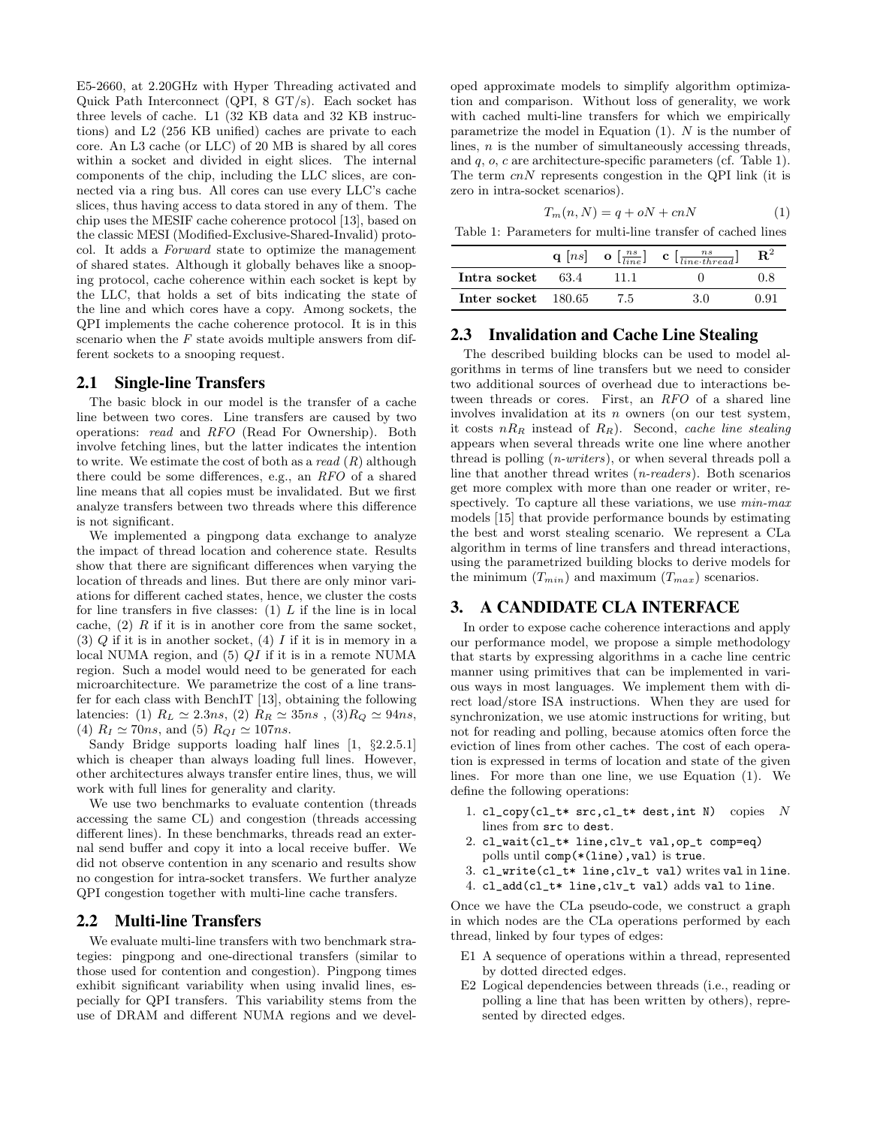E5-2660, at 2.20GHz with Hyper Threading activated and Quick Path Interconnect (QPI, 8 GT/s). Each socket has three levels of cache. L1 (32 KB data and 32 KB instructions) and L2 (256 KB unified) caches are private to each core. An L3 cache (or LLC) of 20 MB is shared by all cores within a socket and divided in eight slices. The internal components of the chip, including the LLC slices, are connected via a ring bus. All cores can use every LLC's cache slices, thus having access to data stored in any of them. The chip uses the MESIF cache coherence protocol [13], based on the classic MESI (Modified-Exclusive-Shared-Invalid) protocol. It adds a Forward state to optimize the management of shared states. Although it globally behaves like a snooping protocol, cache coherence within each socket is kept by the LLC, that holds a set of bits indicating the state of the line and which cores have a copy. Among sockets, the QPI implements the cache coherence protocol. It is in this scenario when the  $F$  state avoids multiple answers from different sockets to a snooping request.

#### 2.1 Single-line Transfers

The basic block in our model is the transfer of a cache line between two cores. Line transfers are caused by two operations: read and RFO (Read For Ownership). Both involve fetching lines, but the latter indicates the intention to write. We estimate the cost of both as a read  $(R)$  although there could be some differences, e.g., an RFO of a shared line means that all copies must be invalidated. But we first analyze transfers between two threads where this difference is not significant.

We implemented a pingpong data exchange to analyze the impact of thread location and coherence state. Results show that there are significant differences when varying the location of threads and lines. But there are only minor variations for different cached states, hence, we cluster the costs for line transfers in five classes:  $(1)$  L if the line is in local cache,  $(2)$  R if it is in another core from the same socket, (3)  $Q$  if it is in another socket, (4)  $I$  if it is in memory in a local NUMA region, and (5) QI if it is in a remote NUMA region. Such a model would need to be generated for each microarchitecture. We parametrize the cost of a line transfer for each class with BenchIT [13], obtaining the following latencies: (1)  $R_L \simeq 2.3ns$ , (2)  $R_R \simeq 35ns$ , (3) $R_Q \simeq 94ns$ , (4)  $R_I \simeq 70ns$ , and (5)  $R_{QI} \simeq 107ns$ .

Sandy Bridge supports loading half lines [1, §2.2.5.1] which is cheaper than always loading full lines. However, other architectures always transfer entire lines, thus, we will work with full lines for generality and clarity.

We use two benchmarks to evaluate contention (threads accessing the same CL) and congestion (threads accessing different lines). In these benchmarks, threads read an external send buffer and copy it into a local receive buffer. We did not observe contention in any scenario and results show no congestion for intra-socket transfers. We further analyze QPI congestion together with multi-line cache transfers.

#### 2.2 Multi-line Transfers

We evaluate multi-line transfers with two benchmark strategies: pingpong and one-directional transfers (similar to those used for contention and congestion). Pingpong times exhibit significant variability when using invalid lines, especially for QPI transfers. This variability stems from the use of DRAM and different NUMA regions and we developed approximate models to simplify algorithm optimization and comparison. Without loss of generality, we work with cached multi-line transfers for which we empirically parametrize the model in Equation  $(1)$ . N is the number of lines, n is the number of simultaneously accessing threads, and  $q$ ,  $o$ ,  $c$  are architecture-specific parameters (cf. Table 1). The term  $cnN$  represents congestion in the QPI link (it is zero in intra-socket scenarios).

$$
T_m(n, N) = q + oN + cnN \tag{1}
$$

Table 1: Parameters for multi-line transfer of cached lines

|                     |       | q $[ns]$ o $\left[\frac{ns}{line}\right]$ c $\left[\frac{ns}{line \cdot three \cdot thread}\right]$ | ${\bf R}^2$ |
|---------------------|-------|-----------------------------------------------------------------------------------------------------|-------------|
| Intra socket 63.4   | -11-1 |                                                                                                     | 0.8         |
| Inter socket 180.65 | - 75  | 3 O                                                                                                 | O 91        |

# 2.3 Invalidation and Cache Line Stealing

The described building blocks can be used to model algorithms in terms of line transfers but we need to consider two additional sources of overhead due to interactions between threads or cores. First, an RFO of a shared line involves invalidation at its  $n$  owners (on our test system, it costs  $nR_R$  instead of  $R_R$ ). Second, cache line stealing appears when several threads write one line where another thread is polling (n-writers), or when several threads poll a line that another thread writes (n-readers). Both scenarios get more complex with more than one reader or writer, respectively. To capture all these variations, we use  $min\text{-}max$ models [15] that provide performance bounds by estimating the best and worst stealing scenario. We represent a CLa algorithm in terms of line transfers and thread interactions, using the parametrized building blocks to derive models for the minimum  $(T_{min})$  and maximum  $(T_{max})$  scenarios.

# 3. A CANDIDATE CLA INTERFACE

In order to expose cache coherence interactions and apply our performance model, we propose a simple methodology that starts by expressing algorithms in a cache line centric manner using primitives that can be implemented in various ways in most languages. We implement them with direct load/store ISA instructions. When they are used for synchronization, we use atomic instructions for writing, but not for reading and polling, because atomics often force the eviction of lines from other caches. The cost of each operation is expressed in terms of location and state of the given lines. For more than one line, we use Equation (1). We define the following operations:

- 1. cl\_copy(cl\_t\* src,cl\_t\* dest,int N) copies N lines from src to dest.
- 2. cl\_wait(cl\_t\* line,clv\_t val,op\_t comp=eq) polls until comp(\*(line),val) is true.
- 3. cl\_write(cl\_t\* line,clv\_t val) writes val in line.
- 4. cl\_add(cl\_t\* line,clv\_t val) adds val to line.

Once we have the CLa pseudo-code, we construct a graph in which nodes are the CLa operations performed by each thread, linked by four types of edges:

- E1 A sequence of operations within a thread, represented by dotted directed edges.
- E2 Logical dependencies between threads (i.e., reading or polling a line that has been written by others), represented by directed edges.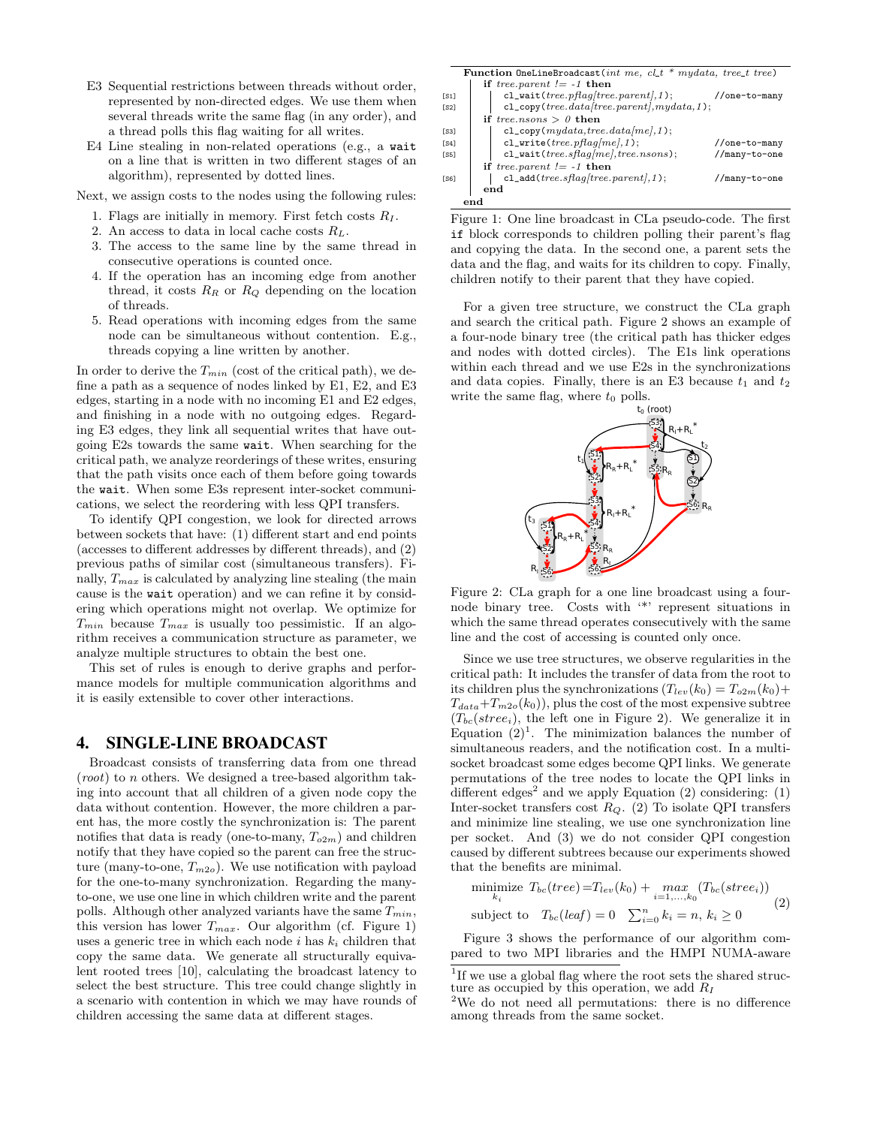- E3 Sequential restrictions between threads without order, represented by non-directed edges. We use them when several threads write the same flag (in any order), and a thread polls this flag waiting for all writes.
- E4 Line stealing in non-related operations (e.g., a wait on a line that is written in two different stages of an algorithm), represented by dotted lines.

Next, we assign costs to the nodes using the following rules:

- 1. Flags are initially in memory. First fetch costs  $R_I$ .
- 2. An access to data in local cache costs  $R_L$ .
- 3. The access to the same line by the same thread in consecutive operations is counted once.
- 4. If the operation has an incoming edge from another thread, it costs  $R_R$  or  $R_Q$  depending on the location of threads.
- 5. Read operations with incoming edges from the same node can be simultaneous without contention. E.g., threads copying a line written by another.

In order to derive the  $T_{min}$  (cost of the critical path), we define a path as a sequence of nodes linked by E1, E2, and E3 edges, starting in a node with no incoming E1 and E2 edges, and finishing in a node with no outgoing edges. Regarding E3 edges, they link all sequential writes that have outgoing E2s towards the same wait. When searching for the critical path, we analyze reorderings of these writes, ensuring that the path visits once each of them before going towards the wait. When some E3s represent inter-socket communications, we select the reordering with less QPI transfers.

To identify QPI congestion, we look for directed arrows between sockets that have: (1) different start and end points (accesses to different addresses by different threads), and (2) previous paths of similar cost (simultaneous transfers). Finally,  $T_{max}$  is calculated by analyzing line stealing (the main cause is the wait operation) and we can refine it by considering which operations might not overlap. We optimize for  $T_{min}$  because  $T_{max}$  is usually too pessimistic. If an algorithm receives a communication structure as parameter, we analyze multiple structures to obtain the best one.

This set of rules is enough to derive graphs and performance models for multiple communication algorithms and it is easily extensible to cover other interactions.

#### 4. SINGLE-LINE BROADCAST

Broadcast consists of transferring data from one thread  $(root)$  to *n* others. We designed a tree-based algorithm taking into account that all children of a given node copy the data without contention. However, the more children a parent has, the more costly the synchronization is: The parent notifies that data is ready (one-to-many,  $T_{o2m}$ ) and children notify that they have copied so the parent can free the structure (many-to-one,  $T_{m2o}$ ). We use notification with payload for the one-to-many synchronization. Regarding the manyto-one, we use one line in which children write and the parent polls. Although other analyzed variants have the same  $T_{min}$ , this version has lower  $T_{max}$ . Our algorithm (cf. Figure 1) uses a generic tree in which each node i has  $k_i$  children that copy the same data. We generate all structurally equivalent rooted trees [10], calculating the broadcast latency to select the best structure. This tree could change slightly in a scenario with contention in which we may have rounds of children accessing the same data at different stages.

Function OneLineBroadcast(int me, cl\_t \* mydata, tree\_t tree) if tree.parent  $!= -1$  then [S1] cl\_wait(tree.pflag[tree.parent],1); //one-to-many<br>
[S2] cl\_copy(tree.dataltree.parentl.mudata.1);  $cl\_copy(\text{tree}.data[\text{tree}.parent],mydata,1);$ if tree.nsons  $> 0$  then [S3] cl\_copy( $mydata,tree.data[me],1$ ); [S4] cl\_write(tree.pflag[me],1); //one-to-many<br>
[S5] cl wait(tree.sflag[me].tree.nsons); //manv-to-one  $cl\_wait(tree.sflag[me], tree.nsons);$ if tree.parent  $!= -1$  then [S6]  $cl\_add(tree.sflag[tree.parent], 1);$  //many-to-one end end

Figure 1: One line broadcast in CLa pseudo-code. The first if block corresponds to children polling their parent's flag and copying the data. In the second one, a parent sets the data and the flag, and waits for its children to copy. Finally, children notify to their parent that they have copied.

For a given tree structure, we construct the CLa graph and search the critical path. Figure 2 shows an example of a four-node binary tree (the critical path has thicker edges and nodes with dotted circles). The E1s link operations within each thread and we use E2s in the synchronizations and data copies. Finally, there is an E3 because  $t_1$  and  $t_2$ write the same flag, where  $t_0$  polls.



Figure 2: CLa graph for a one line broadcast using a fournode binary tree. Costs with '\*' represent situations in which the same thread operates consecutively with the same line and the cost of accessing is counted only once.

Since we use tree structures, we observe regularities in the critical path: It includes the transfer of data from the root to its children plus the synchronizations  $(T_{lev}(k_0) = T_{o2m}(k_0) +$  $T_{data}+T_{m2o}(k_0)$ , plus the cost of the most expensive subtree  $(T_{bc}(stree_i))$ , the left one in Figure 2). We generalize it in Equation  $(2)^{1}$ . The minimization balances the number of simultaneous readers, and the notification cost. In a multisocket broadcast some edges become QPI links. We generate permutations of the tree nodes to locate the QPI links in different edges<sup>2</sup> and we apply Equation  $(2)$  considering:  $(1)$ Inter-socket transfers cost  $R_Q$ . (2) To isolate QPI transfers and minimize line stealing, we use one synchronization line per socket. And (3) we do not consider QPI congestion caused by different subtrees because our experiments showed that the benefits are minimal.

$$
\begin{aligned}\n\text{minimize } T_{bc}(tree) &= T_{lev}(k_0) + \max_{i=1,\dots,k_0} (T_{bc}(stree_i)) \\
\text{subject to } T_{bc}(leaf) &= 0 \quad \sum_{i=0}^{n} k_i = n, \ k_i \ge 0\n\end{aligned} \tag{2}
$$

Figure 3 shows the performance of our algorithm compared to two MPI libraries and the HMPI NUMA-aware

<sup>&</sup>lt;sup>1</sup>If we use a global flag where the root sets the shared structure as occupied by this operation, we add  $R_I$ 

<sup>2</sup>We do not need all permutations: there is no difference among threads from the same socket.